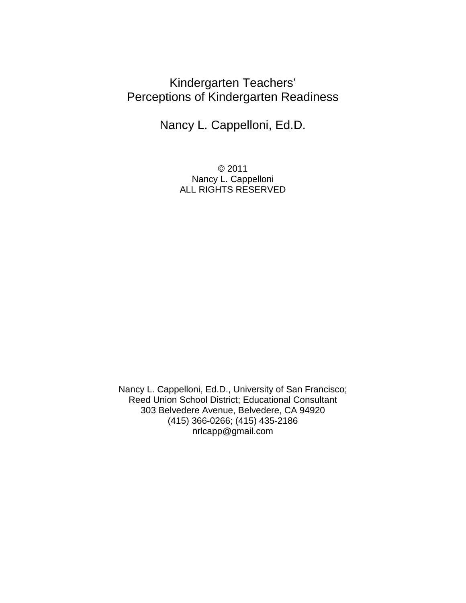# Kindergarten Teachers' Perceptions of Kindergarten Readiness

Nancy L. Cappelloni, Ed.D.

© 2011 Nancy L. Cappelloni ALL RIGHTS RESERVED

Nancy L. Cappelloni, Ed.D., University of San Francisco; Reed Union School District; Educational Consultant 303 Belvedere Avenue, Belvedere, CA 94920 (415) 366-0266; (415) 435-2186 nrlcapp@gmail.com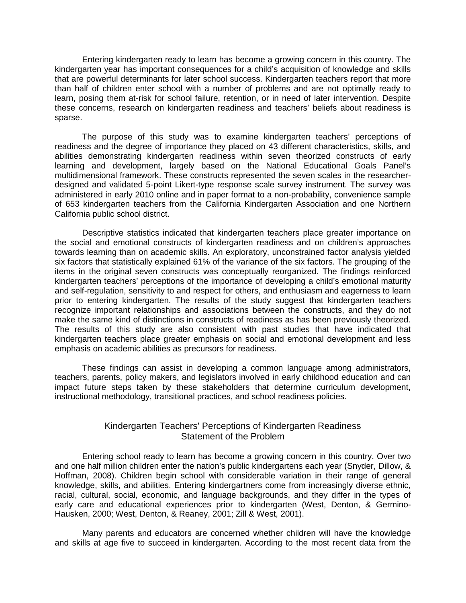Entering kindergarten ready to learn has become a growing concern in this country. The kindergarten year has important consequences for a child's acquisition of knowledge and skills that are powerful determinants for later school success. Kindergarten teachers report that more than half of children enter school with a number of problems and are not optimally ready to learn, posing them at-risk for school failure, retention, or in need of later intervention. Despite these concerns, research on kindergarten readiness and teachers' beliefs about readiness is sparse.

The purpose of this study was to examine kindergarten teachers' perceptions of readiness and the degree of importance they placed on 43 different characteristics, skills, and abilities demonstrating kindergarten readiness within seven theorized constructs of early learning and development, largely based on the National Educational Goals Panel's multidimensional framework. These constructs represented the seven scales in the researcherdesigned and validated 5-point Likert-type response scale survey instrument. The survey was administered in early 2010 online and in paper format to a non-probability, convenience sample of 653 kindergarten teachers from the California Kindergarten Association and one Northern California public school district.

Descriptive statistics indicated that kindergarten teachers place greater importance on the social and emotional constructs of kindergarten readiness and on children's approaches towards learning than on academic skills. An exploratory, unconstrained factor analysis yielded six factors that statistically explained 61% of the variance of the six factors. The grouping of the items in the original seven constructs was conceptually reorganized. The findings reinforced kindergarten teachers' perceptions of the importance of developing a child's emotional maturity and self-regulation, sensitivity to and respect for others, and enthusiasm and eagerness to learn prior to entering kindergarten. The results of the study suggest that kindergarten teachers recognize important relationships and associations between the constructs, and they do not make the same kind of distinctions in constructs of readiness as has been previously theorized. The results of this study are also consistent with past studies that have indicated that kindergarten teachers place greater emphasis on social and emotional development and less emphasis on academic abilities as precursors for readiness.

These findings can assist in developing a common language among administrators, teachers, parents, policy makers, and legislators involved in early childhood education and can impact future steps taken by these stakeholders that determine curriculum development, instructional methodology, transitional practices, and school readiness policies*.*

## Kindergarten Teachers' Perceptions of Kindergarten Readiness Statement of the Problem

Entering school ready to learn has become a growing concern in this country. Over two and one half million children enter the nation's public kindergartens each year (Snyder, Dillow, & Hoffman, 2008). Children begin school with considerable variation in their range of general knowledge, skills, and abilities. Entering kindergartners come from increasingly diverse ethnic, racial, cultural, social, economic, and language backgrounds, and they differ in the types of early care and educational experiences prior to kindergarten (West, Denton, & Germino-Hausken, 2000; West, Denton, & Reaney, 2001; Zill & West, 2001).

Many parents and educators are concerned whether children will have the knowledge and skills at age five to succeed in kindergarten. According to the most recent data from the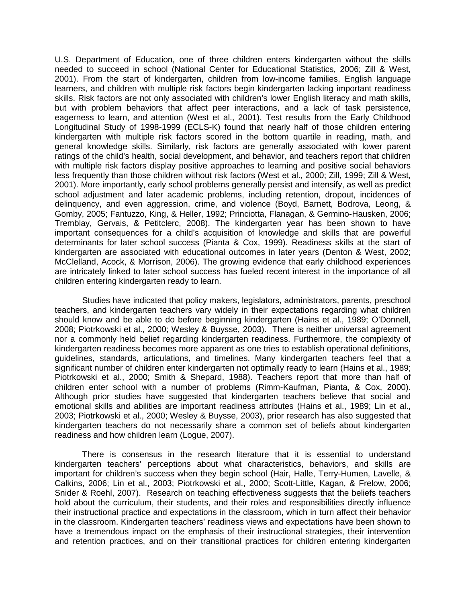U.S. Department of Education, one of three children enters kindergarten without the skills needed to succeed in school (National Center for Educational Statistics, 2006; Zill & West, 2001). From the start of kindergarten, children from low-income families, English language learners, and children with multiple risk factors begin kindergarten lacking important readiness skills. Risk factors are not only associated with children's lower English literacy and math skills, but with problem behaviors that affect peer interactions, and a lack of task persistence, eagerness to learn, and attention (West et al., 2001). Test results from the Early Childhood Longitudinal Study of 1998-1999 (ECLS-K) found that nearly half of those children entering kindergarten with multiple risk factors scored in the bottom quartile in reading, math, and general knowledge skills. Similarly, risk factors are generally associated with lower parent ratings of the child's health, social development, and behavior, and teachers report that children with multiple risk factors display positive approaches to learning and positive social behaviors less frequently than those children without risk factors (West et al., 2000; Zill, 1999; Zill & West, 2001). More importantly, early school problems generally persist and intensify, as well as predict school adjustment and later academic problems, including retention, dropout, incidences of delinquency, and even aggression, crime, and violence (Boyd, Barnett, Bodrova, Leong, & Gomby, 2005; Fantuzzo, King, & Heller, 1992; Princiotta, Flanagan, & Germino-Hausken, 2006; Tremblay, Gervais, & Petitclerc, 2008). The kindergarten year has been shown to have important consequences for a child's acquisition of knowledge and skills that are powerful determinants for later school success (Pianta & Cox, 1999). Readiness skills at the start of kindergarten are associated with educational outcomes in later years (Denton & West, 2002; McClelland, Acock, & Morrison, 2006). The growing evidence that early childhood experiences are intricately linked to later school success has fueled recent interest in the importance of all children entering kindergarten ready to learn.

Studies have indicated that policy makers, legislators, administrators, parents, preschool teachers, and kindergarten teachers vary widely in their expectations regarding what children should know and be able to do before beginning kindergarten (Hains et al., 1989; O'Donnell, 2008; Piotrkowski et al., 2000; Wesley & Buysse, 2003). There is neither universal agreement nor a commonly held belief regarding kindergarten readiness. Furthermore, the complexity of kindergarten readiness becomes more apparent as one tries to establish operational definitions, guidelines, standards, articulations, and timelines. Many kindergarten teachers feel that a significant number of children enter kindergarten not optimally ready to learn (Hains et al., 1989; Piotrkowski et al., 2000; Smith & Shepard, 1988). Teachers report that more than half of children enter school with a number of problems (Rimm-Kaufman, Pianta, & Cox, 2000). Although prior studies have suggested that kindergarten teachers believe that social and emotional skills and abilities are important readiness attributes (Hains et al., 1989; Lin et al., 2003; Piotrkowski et al., 2000; Wesley & Buysse, 2003), prior research has also suggested that kindergarten teachers do not necessarily share a common set of beliefs about kindergarten readiness and how children learn (Logue, 2007).

There is consensus in the research literature that it is essential to understand kindergarten teachers' perceptions about what characteristics, behaviors, and skills are important for children's success when they begin school (Hair, Halle, Terry-Humen, Lavelle, & Calkins, 2006; Lin et al., 2003; Piotrkowski et al., 2000; Scott-Little, Kagan, & Frelow, 2006; Snider & Roehl, 2007). Research on teaching effectiveness suggests that the beliefs teachers hold about the curriculum, their students, and their roles and responsibilities directly influence their instructional practice and expectations in the classroom, which in turn affect their behavior in the classroom. Kindergarten teachers' readiness views and expectations have been shown to have a tremendous impact on the emphasis of their instructional strategies, their intervention and retention practices, and on their transitional practices for children entering kindergarten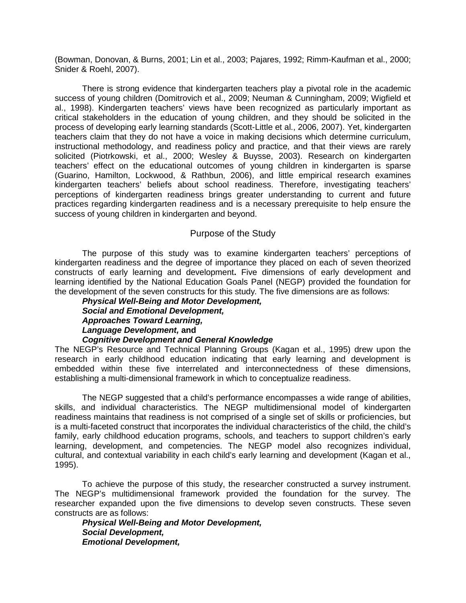(Bowman, Donovan, & Burns, 2001; Lin et al., 2003; Pajares, 1992; Rimm-Kaufman et al., 2000; Snider & Roehl, 2007).

There is strong evidence that kindergarten teachers play a pivotal role in the academic success of young children (Domitrovich et al., 2009; Neuman & Cunningham, 2009; Wigfield et al., 1998). Kindergarten teachers' views have been recognized as particularly important as critical stakeholders in the education of young children, and they should be solicited in the process of developing early learning standards (Scott-Little et al., 2006, 2007). Yet, kindergarten teachers claim that they do not have a voice in making decisions which determine curriculum, instructional methodology, and readiness policy and practice, and that their views are rarely solicited (Piotrkowski, et al., 2000; Wesley & Buysse, 2003). Research on kindergarten teachers' effect on the educational outcomes of young children in kindergarten is sparse (Guarino, Hamilton, Lockwood, & Rathbun, 2006), and little empirical research examines kindergarten teachers' beliefs about school readiness. Therefore, investigating teachers' perceptions of kindergarten readiness brings greater understanding to current and future practices regarding kindergarten readiness and is a necessary prerequisite to help ensure the success of young children in kindergarten and beyond.

#### Purpose of the Study

The purpose of this study was to examine kindergarten teachers' perceptions of kindergarten readiness and the degree of importance they placed on each of seven theorized constructs of early learning and development**.** Five dimensions of early development and learning identified by the National Education Goals Panel (NEGP) provided the foundation for the development of the seven constructs for this study*.* The five dimensions are as follows:

#### *Physical Well-Being and Motor Development, Social and Emotional Development, Approaches Toward Learning, Language Development,* **and** *Cognitive Development and General Knowledge*

The NEGP's Resource and Technical Planning Groups (Kagan et al., 1995) drew upon the research in early childhood education indicating that early learning and development is embedded within these five interrelated and interconnectedness of these dimensions, establishing a multi-dimensional framework in which to conceptualize readiness.

The NEGP suggested that a child's performance encompasses a wide range of abilities, skills, and individual characteristics. The NEGP multidimensional model of kindergarten readiness maintains that readiness is not comprised of a single set of skills or proficiencies, but is a multi-faceted construct that incorporates the individual characteristics of the child, the child's family, early childhood education programs, schools, and teachers to support children's early learning, development, and competencies. The NEGP model also recognizes individual, cultural, and contextual variability in each child's early learning and development (Kagan et al., 1995).

To achieve the purpose of this study, the researcher constructed a survey instrument. The NEGP's multidimensional framework provided the foundation for the survey. The researcher expanded upon the five dimensions to develop seven constructs. These seven constructs are as follows:

*Physical Well-Being and Motor Development, Social Development, Emotional Development,*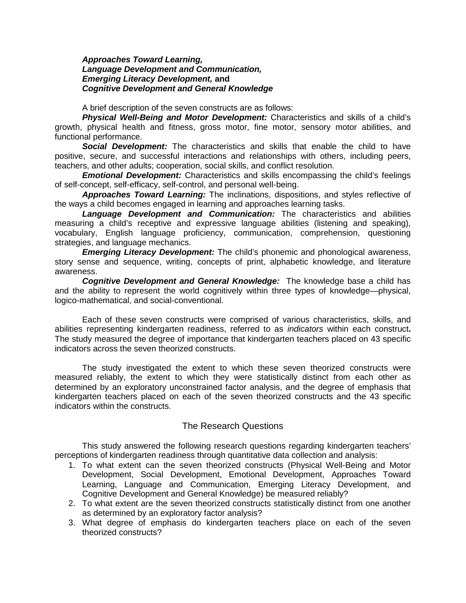#### *Approaches Toward Learning, Language Development and Communication, Emerging Literacy Development,* **and** *Cognitive Development and General Knowledge*

A brief description of the seven constructs are as follows:

*Physical Well-Being and Motor Development:* Characteristics and skills of a child's growth, physical health and fitness, gross motor, fine motor, sensory motor abilities, and functional performance.

*Social Development:* The characteristics and skills that enable the child to have positive, secure, and successful interactions and relationships with others, including peers, teachers, and other adults; cooperation, social skills, and conflict resolution.

*Emotional Development:* Characteristics and skills encompassing the child's feelings of self-concept, self-efficacy, self-control, and personal well-being.

*Approaches Toward Learning:* The inclinations, dispositions, and styles reflective of the ways a child becomes engaged in learning and approaches learning tasks.

*Language Development and Communication:* The characteristics and abilities measuring a child's receptive and expressive language abilities (listening and speaking), vocabulary, English language proficiency, communication, comprehension, questioning strategies, and language mechanics.

*Emerging Literacy Development:* The child's phonemic and phonological awareness, story sense and sequence, writing, concepts of print, alphabetic knowledge, and literature awareness.

*Cognitive Development and General Knowledge:* The knowledge base a child has and the ability to represent the world cognitively within three types of knowledge—physical, logico-mathematical, and social-conventional.

Each of these seven constructs were comprised of various characteristics, skills, and abilities representing kindergarten readiness, referred to as *indicators* within each construct**.**  The study measured the degree of importance that kindergarten teachers placed on 43 specific indicators across the seven theorized constructs.

The study investigated the extent to which these seven theorized constructs were measured reliably, the extent to which they were statistically distinct from each other as determined by an exploratory unconstrained factor analysis, and the degree of emphasis that kindergarten teachers placed on each of the seven theorized constructs and the 43 specific indicators within the constructs.

## The Research Questions

This study answered the following research questions regarding kindergarten teachers' perceptions of kindergarten readiness through quantitative data collection and analysis:

- 1. To what extent can the seven theorized constructs (Physical Well-Being and Motor Development, Social Development, Emotional Development, Approaches Toward Learning, Language and Communication, Emerging Literacy Development, and Cognitive Development and General Knowledge) be measured reliably?
- 2. To what extent are the seven theorized constructs statistically distinct from one another as determined by an exploratory factor analysis?
- 3. What degree of emphasis do kindergarten teachers place on each of the seven theorized constructs?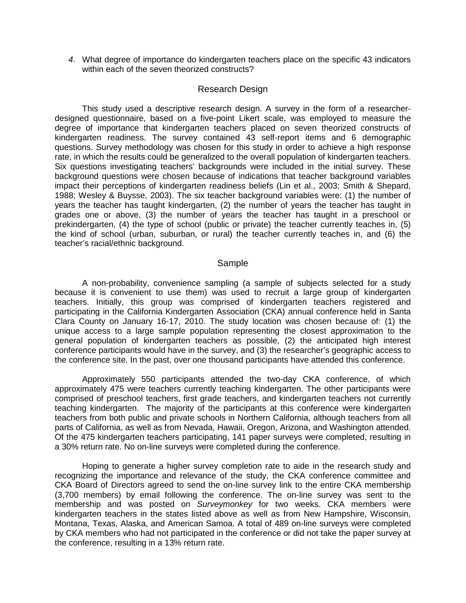*4.* What degree of importance do kindergarten teachers place on the specific 43 indicators within each of the seven theorized constructs?

#### Research Design

This study used a descriptive research design. A survey in the form of a researcherdesigned questionnaire, based on a five-point Likert scale, was employed to measure the degree of importance that kindergarten teachers placed on seven theorized constructs of kindergarten readiness. The survey contained 43 self-report items and 6 demographic questions. Survey methodology was chosen for this study in order to achieve a high response rate, in which the results could be generalized to the overall population of kindergarten teachers. Six questions investigating teachers' backgrounds were included in the initial survey. These background questions were chosen because of indications that teacher background variables impact their perceptions of kindergarten readiness beliefs (Lin et al., 2003; Smith & Shepard, 1988; Wesley & Buysse, 2003). The six teacher background variables were: (1) the number of years the teacher has taught kindergarten, (2) the number of years the teacher has taught in grades one or above, (3) the number of years the teacher has taught in a preschool or prekindergarten, (4) the type of school (public or private) the teacher currently teaches in, (5) the kind of school (urban, suburban, or rural) the teacher currently teaches in, and (6) the teacher's racial/ethnic background.

#### **Sample**

A non-probability, convenience sampling (a sample of subjects selected for a study because it is convenient to use them) was used to recruit a large group of kindergarten teachers. Initially, this group was comprised of kindergarten teachers registered and participating in the California Kindergarten Association (CKA) annual conference held in Santa Clara County on January 16-17, 2010. The study location was chosen because of: (1) the unique access to a large sample population representing the closest approximation to the general population of kindergarten teachers as possible, (2) the anticipated high interest conference participants would have in the survey, and (3) the researcher's geographic access to the conference site. In the past, over one thousand participants have attended this conference.

Approximately 550 participants attended the two-day CKA conference, of which approximately 475 were teachers currently teaching kindergarten. The other participants were comprised of preschool teachers, first grade teachers, and kindergarten teachers not currently teaching kindergarten. The majority of the participants at this conference were kindergarten teachers from both public and private schools in Northern California, although teachers from all parts of California, as well as from Nevada, Hawaii, Oregon, Arizona, and Washington attended. Of the 475 kindergarten teachers participating, 141 paper surveys were completed, resulting in a 30% return rate. No on-line surveys were completed during the conference.

Hoping to generate a higher survey completion rate to aide in the research study and recognizing the importance and relevance of the study, the CKA conference committee and CKA Board of Directors agreed to send the on-line survey link to the entire CKA membership (3,700 members) by email following the conference. The on-line survey was sent to the membership and was posted on *Surveymonkey* for two weeks. CKA members were kindergarten teachers in the states listed above as well as from New Hampshire, Wisconsin, Montana, Texas, Alaska, and American Samoa. A total of 489 on-line surveys were completed by CKA members who had not participated in the conference or did not take the paper survey at the conference, resulting in a 13% return rate.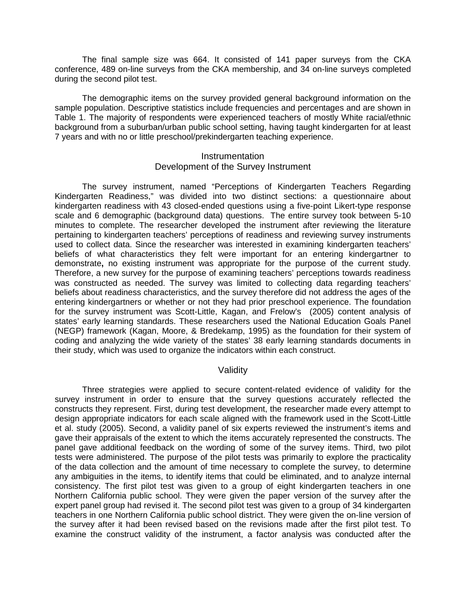The final sample size was 664. It consisted of 141 paper surveys from the CKA conference, 489 on-line surveys from the CKA membership, and 34 on-line surveys completed during the second pilot test.

The demographic items on the survey provided general background information on the sample population. Descriptive statistics include frequencies and percentages and are shown in Table 1. The majority of respondents were experienced teachers of mostly White racial/ethnic background from a suburban/urban public school setting, having taught kindergarten for at least 7 years and with no or little preschool/prekindergarten teaching experience.

#### **Instrumentation** Development of the Survey Instrument

The survey instrument, named "Perceptions of Kindergarten Teachers Regarding Kindergarten Readiness," was divided into two distinct sections: a questionnaire about kindergarten readiness with 43 closed-ended questions using a five-point Likert-type response scale and 6 demographic (background data) questions. The entire survey took between 5-10 minutes to complete. The researcher developed the instrument after reviewing the literature pertaining to kindergarten teachers' perceptions of readiness and reviewing survey instruments used to collect data. Since the researcher was interested in examining kindergarten teachers' beliefs of what characteristics they felt were important for an entering kindergartner to demonstrate**,** no existing instrument was appropriate for the purpose of the current study. Therefore, a new survey for the purpose of examining teachers' perceptions towards readiness was constructed as needed. The survey was limited to collecting data regarding teachers' beliefs about readiness characteristics, and the survey therefore did not address the ages of the entering kindergartners or whether or not they had prior preschool experience. The foundation for the survey instrument was Scott-Little, Kagan, and Frelow's (2005) content analysis of states' early learning standards. These researchers used the National Education Goals Panel (NEGP) framework (Kagan, Moore, & Bredekamp, 1995) as the foundation for their system of coding and analyzing the wide variety of the states' 38 early learning standards documents in their study, which was used to organize the indicators within each construct.

## Validity

Three strategies were applied to secure content-related evidence of validity for the survey instrument in order to ensure that the survey questions accurately reflected the constructs they represent. First, during test development, the researcher made every attempt to design appropriate indicators for each scale aligned with the framework used in the Scott-Little et al. study (2005). Second, a validity panel of six experts reviewed the instrument's items and gave their appraisals of the extent to which the items accurately represented the constructs. The panel gave additional feedback on the wording of some of the survey items. Third, two pilot tests were administered. The purpose of the pilot tests was primarily to explore the practicality of the data collection and the amount of time necessary to complete the survey, to determine any ambiguities in the items, to identify items that could be eliminated, and to analyze internal consistency. The first pilot test was given to a group of eight kindergarten teachers in one Northern California public school. They were given the paper version of the survey after the expert panel group had revised it. The second pilot test was given to a group of 34 kindergarten teachers in one Northern California public school district. They were given the on-line version of the survey after it had been revised based on the revisions made after the first pilot test. To examine the construct validity of the instrument, a factor analysis was conducted after the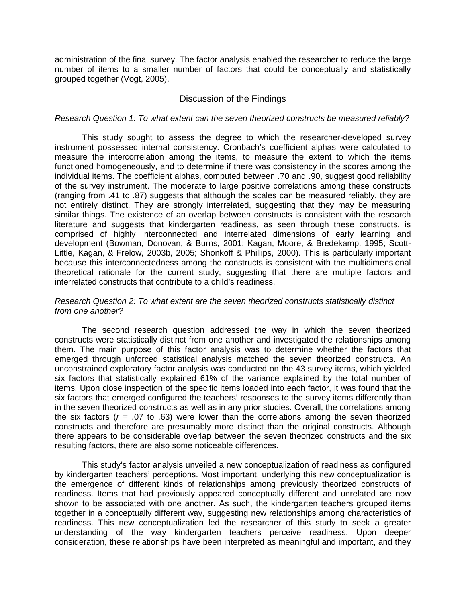administration of the final survey. The factor analysis enabled the researcher to reduce the large number of items to a smaller number of factors that could be conceptually and statistically grouped together (Vogt, 2005).

#### Discussion of the Findings

#### *Research Question 1: To what extent can the seven theorized constructs be measured reliably?*

This study sought to assess the degree to which the researcher-developed survey instrument possessed internal consistency. Cronbach's coefficient alphas were calculated to measure the intercorrelation among the items, to measure the extent to which the items functioned homogeneously, and to determine if there was consistency in the scores among the individual items. The coefficient alphas, computed between .70 and .90, suggest good reliability of the survey instrument. The moderate to large positive correlations among these constructs (ranging from .41 to .87) suggests that although the scales can be measured reliably, they are not entirely distinct. They are strongly interrelated, suggesting that they may be measuring similar things. The existence of an overlap between constructs is consistent with the research literature and suggests that kindergarten readiness, as seen through these constructs, is comprised of highly interconnected and interrelated dimensions of early learning and development (Bowman, Donovan, & Burns, 2001; Kagan, Moore, & Bredekamp, 1995; Scott-Little, Kagan, & Frelow, 2003b, 2005; Shonkoff & Phillips, 2000). This is particularly important because this interconnectedness among the constructs is consistent with the multidimensional theoretical rationale for the current study, suggesting that there are multiple factors and interrelated constructs that contribute to a child's readiness.

#### *Research Question 2: To what extent are the seven theorized constructs statistically distinct from one another?*

The second research question addressed the way in which the seven theorized constructs were statistically distinct from one another and investigated the relationships among them. The main purpose of this factor analysis was to determine whether the factors that emerged through unforced statistical analysis matched the seven theorized constructs. An unconstrained exploratory factor analysis was conducted on the 43 survey items, which yielded six factors that statistically explained 61% of the variance explained by the total number of items. Upon close inspection of the specific items loaded into each factor, it was found that the six factors that emerged configured the teachers' responses to the survey items differently than in the seven theorized constructs as well as in any prior studies. Overall, the correlations among the six factors ( $r = .07$  to  $.63$ ) were lower than the correlations among the seven theorized constructs and therefore are presumably more distinct than the original constructs. Although there appears to be considerable overlap between the seven theorized constructs and the six resulting factors, there are also some noticeable differences.

This study's factor analysis unveiled a new conceptualization of readiness as configured by kindergarten teachers' perceptions. Most important, underlying this new conceptualization is the emergence of different kinds of relationships among previously theorized constructs of readiness. Items that had previously appeared conceptually different and unrelated are now shown to be associated with one another. As such, the kindergarten teachers grouped items together in a conceptually different way, suggesting new relationships among characteristics of readiness. This new conceptualization led the researcher of this study to seek a greater understanding of the way kindergarten teachers perceive readiness. Upon deeper consideration, these relationships have been interpreted as meaningful and important, and they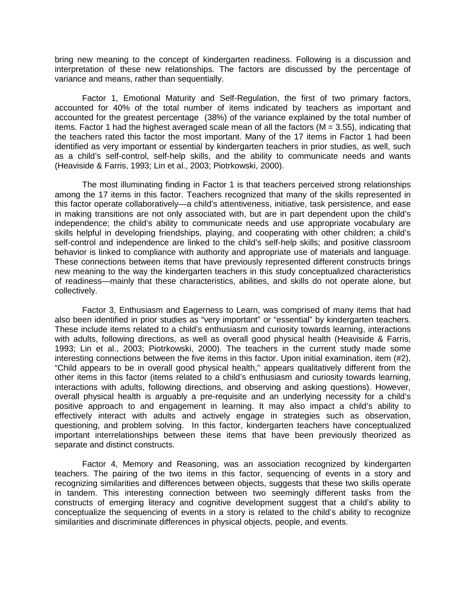bring new meaning to the concept of kindergarten readiness. Following is a discussion and interpretation of these new relationships. The factors are discussed by the percentage of variance and means, rather than sequentially.

Factor 1, Emotional Maturity and Self-Regulation, the first of two primary factors, accounted for 40% of the total number of items indicated by teachers as important and accounted for the greatest percentage (38%) of the variance explained by the total number of items. Factor 1 had the highest averaged scale mean of all the factors ( $M = 3.55$ ), indicating that the teachers rated this factor the most important. Many of the 17 items in Factor 1 had been identified as very important or essential by kindergarten teachers in prior studies, as well, such as a child's self-control, self-help skills, and the ability to communicate needs and wants (Heaviside & Farris, 1993; Lin et al., 2003; Piotrkowski, 2000).

The most illuminating finding in Factor 1 is that teachers perceived strong relationships among the 17 items in this factor. Teachers recognized that many of the skills represented in this factor operate collaboratively—a child's attentiveness, initiative, task persistence, and ease in making transitions are not only associated with, but are in part dependent upon the child's independence; the child's ability to communicate needs and use appropriate vocabulary are skills helpful in developing friendships, playing, and cooperating with other children; a child's self-control and independence are linked to the child's self-help skills; and positive classroom behavior is linked to compliance with authority and appropriate use of materials and language. These connections between items that have previously represented different constructs brings new meaning to the way the kindergarten teachers in this study conceptualized characteristics of readiness—mainly that these characteristics, abilities, and skills do not operate alone, but collectively.

Factor 3, Enthusiasm and Eagerness to Learn, was comprised of many items that had also been identified in prior studies as "very important" or "essential" by kindergarten teachers. These include items related to a child's enthusiasm and curiosity towards learning, interactions with adults, following directions, as well as overall good physical health (Heaviside & Farris, 1993; Lin et al., 2003; Piotrkowski, 2000). The teachers in the current study made some interesting connections between the five items in this factor. Upon initial examination, item (#2), "Child appears to be in overall good physical health," appears qualitatively different from the other items in this factor (items related to a child's enthusiasm and curiosity towards learning, interactions with adults, following directions, and observing and asking questions). However, overall physical health is arguably a pre-requisite and an underlying necessity for a child's positive approach to and engagement in learning. It may also impact a child's ability to effectively interact with adults and actively engage in strategies such as observation, questioning, and problem solving. In this factor, kindergarten teachers have conceptualized important interrelationships between these items that have been previously theorized as separate and distinct constructs.

Factor 4, Memory and Reasoning, was an association recognized by kindergarten teachers. The pairing of the two items in this factor, sequencing of events in a story and recognizing similarities and differences between objects, suggests that these two skills operate in tandem. This interesting connection between two seemingly different tasks from the constructs of emerging literacy and cognitive development suggest that a child's ability to conceptualize the sequencing of events in a story is related to the child's ability to recognize similarities and discriminate differences in physical objects, people, and events.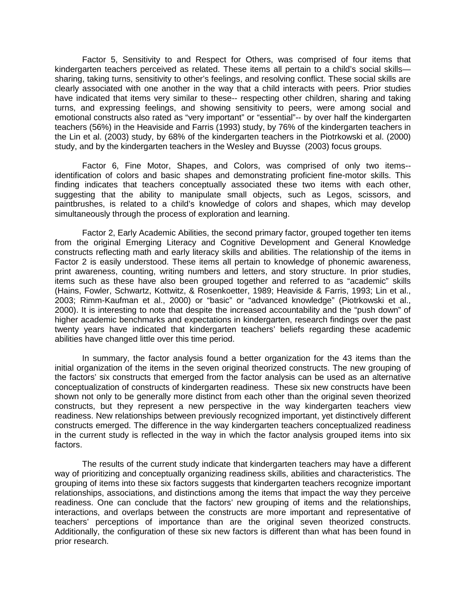Factor 5, Sensitivity to and Respect for Others, was comprised of four items that kindergarten teachers perceived as related. These items all pertain to a child's social skills sharing, taking turns, sensitivity to other's feelings, and resolving conflict. These social skills are clearly associated with one another in the way that a child interacts with peers. Prior studies have indicated that items very similar to these-- respecting other children, sharing and taking turns, and expressing feelings, and showing sensitivity to peers, were among social and emotional constructs also rated as "very important" or "essential"-- by over half the kindergarten teachers (56%) in the Heaviside and Farris (1993) study, by 76% of the kindergarten teachers in the Lin et al. (2003) study, by 68% of the kindergarten teachers in the Piotrkowski et al. (2000) study, and by the kindergarten teachers in the Wesley and Buysse (2003) focus groups.

Factor 6, Fine Motor, Shapes, and Colors, was comprised of only two items- identification of colors and basic shapes and demonstrating proficient fine-motor skills. This finding indicates that teachers conceptually associated these two items with each other, suggesting that the ability to manipulate small objects, such as Legos, scissors, and paintbrushes, is related to a child's knowledge of colors and shapes, which may develop simultaneously through the process of exploration and learning.

Factor 2, Early Academic Abilities, the second primary factor, grouped together ten items from the original Emerging Literacy and Cognitive Development and General Knowledge constructs reflecting math and early literacy skills and abilities. The relationship of the items in Factor 2 is easily understood. These items all pertain to knowledge of phonemic awareness, print awareness, counting, writing numbers and letters, and story structure. In prior studies, items such as these have also been grouped together and referred to as "academic" skills (Hains, Fowler, Schwartz, Kottwitz, & Rosenkoetter, 1989; Heaviside & Farris, 1993; Lin et al., 2003; Rimm-Kaufman et al., 2000) or "basic" or "advanced knowledge" (Piotrkowski et al., 2000). It is interesting to note that despite the increased accountability and the "push down" of higher academic benchmarks and expectations in kindergarten, research findings over the past twenty years have indicated that kindergarten teachers' beliefs regarding these academic abilities have changed little over this time period.

In summary, the factor analysis found a better organization for the 43 items than the initial organization of the items in the seven original theorized constructs. The new grouping of the factors' six constructs that emerged from the factor analysis can be used as an alternative conceptualization of constructs of kindergarten readiness. These six new constructs have been shown not only to be generally more distinct from each other than the original seven theorized constructs, but they represent a new perspective in the way kindergarten teachers view readiness. New relationships between previously recognized important, yet distinctively different constructs emerged. The difference in the way kindergarten teachers conceptualized readiness in the current study is reflected in the way in which the factor analysis grouped items into six factors.

The results of the current study indicate that kindergarten teachers may have a different way of prioritizing and conceptually organizing readiness skills, abilities and characteristics. The grouping of items into these six factors suggests that kindergarten teachers recognize important relationships, associations, and distinctions among the items that impact the way they perceive readiness. One can conclude that the factors' new grouping of items and the relationships, interactions, and overlaps between the constructs are more important and representative of teachers' perceptions of importance than are the original seven theorized constructs. Additionally, the configuration of these six new factors is different than what has been found in prior research.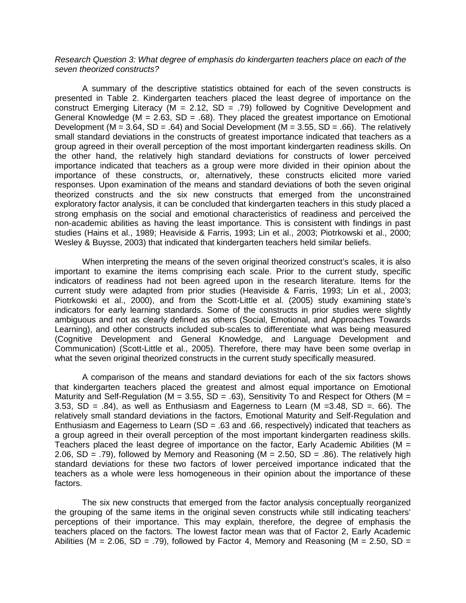#### *Research Question 3: What degree of emphasis do kindergarten teachers place on each of the seven theorized constructs?*

A summary of the descriptive statistics obtained for each of the seven constructs is presented in Table 2. Kindergarten teachers placed the least degree of importance on the construct Emerging Literacy ( $M = 2.12$ , SD = .79) followed by Cognitive Development and General Knowledge ( $M = 2.63$ ,  $SD = .68$ ). They placed the greatest importance on Emotional Development (M =  $3.64$ , SD =  $.64$ ) and Social Development (M =  $3.55$ , SD =  $.66$ ). The relatively small standard deviations in the constructs of greatest importance indicated that teachers as a group agreed in their overall perception of the most important kindergarten readiness skills. On the other hand, the relatively high standard deviations for constructs of lower perceived importance indicated that teachers as a group were more divided in their opinion about the importance of these constructs, or, alternatively, these constructs elicited more varied responses. Upon examination of the means and standard deviations of both the seven original theorized constructs and the six new constructs that emerged from the unconstrained exploratory factor analysis, it can be concluded that kindergarten teachers in this study placed a strong emphasis on the social and emotional characteristics of readiness and perceived the non-academic abilities as having the least importance. This is consistent with findings in past studies (Hains et al., 1989; Heaviside & Farris, 1993; Lin et al., 2003; Piotrkowski et al., 2000; Wesley & Buysse, 2003) that indicated that kindergarten teachers held similar beliefs.

When interpreting the means of the seven original theorized construct's scales, it is also important to examine the items comprising each scale. Prior to the current study, specific indicators of readiness had not been agreed upon in the research literature. Items for the current study were adapted from prior studies (Heaviside & Farris, 1993; Lin et al., 2003; Piotrkowski et al., 2000), and from the Scott-Little et al. (2005) study examining state's indicators for early learning standards. Some of the constructs in prior studies were slightly ambiguous and not as clearly defined as others (Social, Emotional, and Approaches Towards Learning), and other constructs included sub-scales to differentiate what was being measured (Cognitive Development and General Knowledge, and Language Development and Communication) (Scott-Little et al., 2005). Therefore, there may have been some overlap in what the seven original theorized constructs in the current study specifically measured.

A comparison of the means and standard deviations for each of the six factors shows that kindergarten teachers placed the greatest and almost equal importance on Emotional Maturity and Self-Regulation (M = 3.55, SD = .63), Sensitivity To and Respect for Others (M = 3.53,  $SD = .84$ ), as well as Enthusiasm and Eagerness to Learn (M = 3.48,  $SD = .66$ ). The relatively small standard deviations in the factors, Emotional Maturity and Self-Regulation and Enthusiasm and Eagerness to Learn (SD = .63 and .66, respectively) indicated that teachers as a group agreed in their overall perception of the most important kindergarten readiness skills. Teachers placed the least degree of importance on the factor, Early Academic Abilities ( $M =$ 2.06, SD = .79), followed by Memory and Reasoning ( $M = 2.50$ , SD = .86). The relatively high standard deviations for these two factors of lower perceived importance indicated that the teachers as a whole were less homogeneous in their opinion about the importance of these factors.

The six new constructs that emerged from the factor analysis conceptually reorganized the grouping of the same items in the original seven constructs while still indicating teachers' perceptions of their importance. This may explain, therefore, the degree of emphasis the teachers placed on the factors. The lowest factor mean was that of Factor 2, Early Academic Abilities (M = 2.06, SD = .79), followed by Factor 4, Memory and Reasoning (M = 2.50, SD =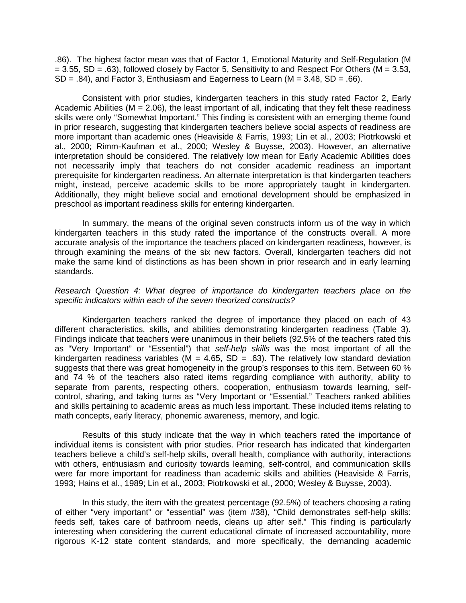.86). The highest factor mean was that of Factor 1, Emotional Maturity and Self-Regulation (M  $= 3.55$ , SD  $= .63$ ), followed closely by Factor 5, Sensitivity to and Respect For Others (M  $= 3.53$ ,  $SD = .84$ ), and Factor 3, Enthusiasm and Eagerness to Learn ( $M = 3.48$ ,  $SD = .66$ ).

Consistent with prior studies, kindergarten teachers in this study rated Factor 2, Early Academic Abilities ( $M = 2.06$ ), the least important of all, indicating that they felt these readiness skills were only "Somewhat Important." This finding is consistent with an emerging theme found in prior research, suggesting that kindergarten teachers believe social aspects of readiness are more important than academic ones (Heaviside & Farris, 1993; Lin et al., 2003; Piotrkowski et al., 2000; Rimm-Kaufman et al., 2000; Wesley & Buysse, 2003). However, an alternative interpretation should be considered. The relatively low mean for Early Academic Abilities does not necessarily imply that teachers do not consider academic readiness an important prerequisite for kindergarten readiness. An alternate interpretation is that kindergarten teachers might, instead, perceive academic skills to be more appropriately taught in kindergarten. Additionally, they might believe social and emotional development should be emphasized in preschool as important readiness skills for entering kindergarten.

In summary, the means of the original seven constructs inform us of the way in which kindergarten teachers in this study rated the importance of the constructs overall. A more accurate analysis of the importance the teachers placed on kindergarten readiness, however, is through examining the means of the six new factors. Overall, kindergarten teachers did not make the same kind of distinctions as has been shown in prior research and in early learning standards.

#### *Research Question 4: What degree of importance do kindergarten teachers place on the specific indicators within each of the seven theorized constructs?*

Kindergarten teachers ranked the degree of importance they placed on each of 43 different characteristics, skills, and abilities demonstrating kindergarten readiness (Table 3). Findings indicate that teachers were unanimous in their beliefs (92.5% of the teachers rated this as "Very Important" or "Essential") that *self-help skills* was the most important of all the kindergarten readiness variables (M = 4.65, SD = .63). The relatively low standard deviation suggests that there was great homogeneity in the group's responses to this item. Between 60 % and 74 % of the teachers also rated items regarding compliance with authority, ability to separate from parents, respecting others, cooperation, enthusiasm towards learning, selfcontrol, sharing, and taking turns as "Very Important or "Essential." Teachers ranked abilities and skills pertaining to academic areas as much less important. These included items relating to math concepts, early literacy, phonemic awareness, memory, and logic.

Results of this study indicate that the way in which teachers rated the importance of individual items is consistent with prior studies. Prior research has indicated that kindergarten teachers believe a child's self-help skills, overall health, compliance with authority, interactions with others, enthusiasm and curiosity towards learning, self-control, and communication skills were far more important for readiness than academic skills and abilities (Heaviside & Farris, 1993; Hains et al., 1989; Lin et al., 2003; Piotrkowski et al., 2000; Wesley & Buysse, 2003).

In this study, the item with the greatest percentage (92.5%) of teachers choosing a rating of either "very important" or "essential" was (item #38), "Child demonstrates self-help skills: feeds self, takes care of bathroom needs, cleans up after self." This finding is particularly interesting when considering the current educational climate of increased accountability, more rigorous K-12 state content standards, and more specifically, the demanding academic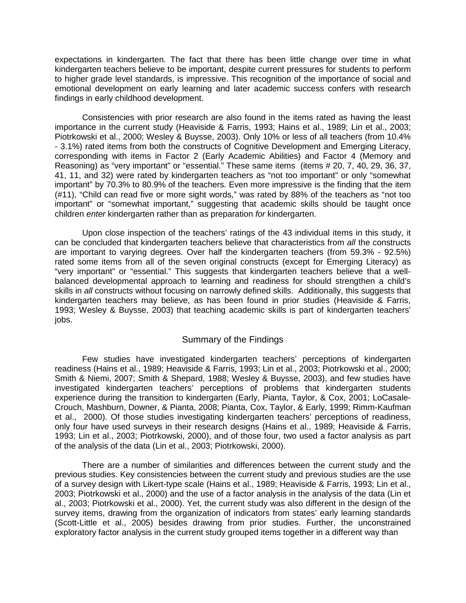expectations in kindergarten. The fact that there has been little change over time in what kindergarten teachers believe to be important, despite current pressures for students to perform to higher grade level standards, is impressive. This recognition of the importance of social and emotional development on early learning and later academic success confers with research findings in early childhood development.

Consistencies with prior research are also found in the items rated as having the least importance in the current study (Heaviside & Farris, 1993; Hains et al., 1989; Lin et al., 2003; Piotrkowski et al., 2000; Wesley & Buysse, 2003). Only 10% or less of all teachers (from 10.4% - 3.1%) rated items from both the constructs of Cognitive Development and Emerging Literacy, corresponding with items in Factor 2 (Early Academic Abilities) and Factor 4 (Memory and Reasoning) as "very important" or "essential." These same items (items # 20, 7, 40, 29, 36, 37, 41, 11, and 32) were rated by kindergarten teachers as "not too important" or only "somewhat important" by 70.3% to 80.9% of the teachers. Even more impressive is the finding that the item (#11), "Child can read five or more sight words," was rated by 88% of the teachers as "not too important" or "somewhat important," suggesting that academic skills should be taught once children *enter* kindergarten rather than as preparation *for* kindergarten.

Upon close inspection of the teachers' ratings of the 43 individual items in this study, it can be concluded that kindergarten teachers believe that characteristics from *all* the constructs are important to varying degrees. Over half the kindergarten teachers (from 59.3% - 92.5%) rated some items from all of the seven original constructs (except for Emerging Literacy) as "very important" or "essential." This suggests that kindergarten teachers believe that a wellbalanced developmental approach to learning and readiness for should strengthen a child's skills in *all* constructs without focusing on narrowly defined skills. Additionally, this suggests that kindergarten teachers may believe, as has been found in prior studies (Heaviside & Farris, 1993; Wesley & Buysse, 2003) that teaching academic skills is part of kindergarten teachers' jobs.

## Summary of the Findings

Few studies have investigated kindergarten teachers' perceptions of kindergarten readiness (Hains et al., 1989; Heaviside & Farris, 1993; Lin et al., 2003; Piotrkowski et al., 2000; Smith & Niemi, 2007; Smith & Shepard, 1988; Wesley & Buysse, 2003), and few studies have investigated kindergarten teachers' perceptions of problems that kindergarten students experience during the transition to kindergarten (Early, Pianta, Taylor, & Cox, 2001; LoCasale-Crouch, Mashburn, Downer, & Pianta, 2008; Pianta, Cox, Taylor, & Early, 1999; Rimm-Kaufman et al., 2000). Of those studies investigating kindergarten teachers' perceptions of readiness, only four have used surveys in their research designs (Hains et al., 1989; Heaviside & Farris, 1993; Lin et al., 2003; Piotrkowski, 2000), and of those four, two used a factor analysis as part of the analysis of the data (Lin et al., 2003; Piotrkowski, 2000).

There are a number of similarities and differences between the current study and the previous studies. Key consistencies between the current study and previous studies are the use of a survey design with Likert-type scale (Hains et al., 1989; Heaviside & Farris, 1993; Lin et al., 2003; Piotrkowski et al., 2000) and the use of a factor analysis in the analysis of the data (Lin et al., 2003; Piotrkowski et al., 2000). Yet, the current study was also different in the design of the survey items, drawing from the organization of indicators from states' early learning standards (Scott-Little et al., 2005) besides drawing from prior studies. Further, the unconstrained exploratory factor analysis in the current study grouped items together in a different way than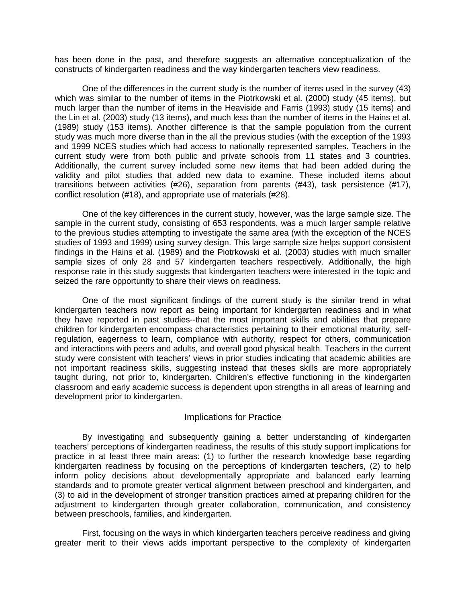has been done in the past, and therefore suggests an alternative conceptualization of the constructs of kindergarten readiness and the way kindergarten teachers view readiness.

One of the differences in the current study is the number of items used in the survey (43) which was similar to the number of items in the Piotrkowski et al. (2000) study (45 items), but much larger than the number of items in the Heaviside and Farris (1993) study (15 items) and the Lin et al. (2003) study (13 items), and much less than the number of items in the Hains et al. (1989) study (153 items). Another difference is that the sample population from the current study was much more diverse than in the all the previous studies (with the exception of the 1993 and 1999 NCES studies which had access to nationally represented samples. Teachers in the current study were from both public and private schools from 11 states and 3 countries. Additionally, the current survey included some new items that had been added during the validity and pilot studies that added new data to examine. These included items about transitions between activities (#26), separation from parents (#43), task persistence (#17), conflict resolution (#18), and appropriate use of materials (#28).

One of the key differences in the current study, however, was the large sample size. The sample in the current study, consisting of 653 respondents, was a much larger sample relative to the previous studies attempting to investigate the same area (with the exception of the NCES studies of 1993 and 1999) using survey design. This large sample size helps support consistent findings in the Hains et al. (1989) and the Piotrkowski et al. (2003) studies with much smaller sample sizes of only 28 and 57 kindergarten teachers respectively. Additionally, the high response rate in this study suggests that kindergarten teachers were interested in the topic and seized the rare opportunity to share their views on readiness.

One of the most significant findings of the current study is the similar trend in what kindergarten teachers now report as being important for kindergarten readiness and in what they have reported in past studies--that the most important skills and abilities that prepare children for kindergarten encompass characteristics pertaining to their emotional maturity, selfregulation, eagerness to learn, compliance with authority, respect for others, communication and interactions with peers and adults, and overall good physical health. Teachers in the current study were consistent with teachers' views in prior studies indicating that academic abilities are not important readiness skills, suggesting instead that theses skills are more appropriately taught during, not prior to, kindergarten. Children's effective functioning in the kindergarten classroom and early academic success is dependent upon strengths in all areas of learning and development prior to kindergarten.

#### Implications for Practice

By investigating and subsequently gaining a better understanding of kindergarten teachers' perceptions of kindergarten readiness, the results of this study support implications for practice in at least three main areas: (1) to further the research knowledge base regarding kindergarten readiness by focusing on the perceptions of kindergarten teachers, (2) to help inform policy decisions about developmentally appropriate and balanced early learning standards and to promote greater vertical alignment between preschool and kindergarten, and (3) to aid in the development of stronger transition practices aimed at preparing children for the adjustment to kindergarten through greater collaboration, communication, and consistency between preschools, families, and kindergarten.

First, focusing on the ways in which kindergarten teachers perceive readiness and giving greater merit to their views adds important perspective to the complexity of kindergarten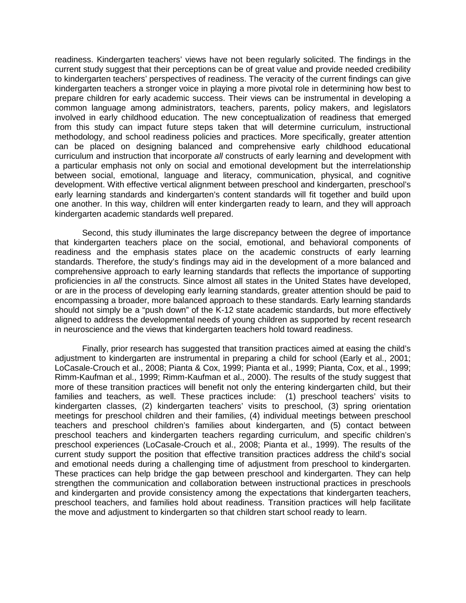readiness. Kindergarten teachers' views have not been regularly solicited. The findings in the current study suggest that their perceptions can be of great value and provide needed credibility to kindergarten teachers' perspectives of readiness. The veracity of the current findings can give kindergarten teachers a stronger voice in playing a more pivotal role in determining how best to prepare children for early academic success. Their views can be instrumental in developing a common language among administrators, teachers, parents, policy makers, and legislators involved in early childhood education. The new conceptualization of readiness that emerged from this study can impact future steps taken that will determine curriculum, instructional methodology, and school readiness policies and practices. More specifically, greater attention can be placed on designing balanced and comprehensive early childhood educational curriculum and instruction that incorporate *all* constructs of early learning and development with a particular emphasis not only on social and emotional development but the interrelationship between social, emotional, language and literacy, communication, physical, and cognitive development. With effective vertical alignment between preschool and kindergarten, preschool's early learning standards and kindergarten's content standards will fit together and build upon one another. In this way, children will enter kindergarten ready to learn, and they will approach kindergarten academic standards well prepared.

Second, this study illuminates the large discrepancy between the degree of importance that kindergarten teachers place on the social, emotional, and behavioral components of readiness and the emphasis states place on the academic constructs of early learning standards. Therefore, the study's findings may aid in the development of a more balanced and comprehensive approach to early learning standards that reflects the importance of supporting proficiencies in *all* the constructs. Since almost all states in the United States have developed, or are in the process of developing early learning standards, greater attention should be paid to encompassing a broader, more balanced approach to these standards. Early learning standards should not simply be a "push down" of the K-12 state academic standards, but more effectively aligned to address the developmental needs of young children as supported by recent research in neuroscience and the views that kindergarten teachers hold toward readiness.

Finally, prior research has suggested that transition practices aimed at easing the child's adjustment to kindergarten are instrumental in preparing a child for school (Early et al., 2001; LoCasale-Crouch et al., 2008; Pianta & Cox, 1999; Pianta et al., 1999; Pianta, Cox, et al., 1999; Rimm-Kaufman et al., 1999; Rimm-Kaufman et al., 2000). The results of the study suggest that more of these transition practices will benefit not only the entering kindergarten child, but their families and teachers, as well. These practices include: (1) preschool teachers' visits to kindergarten classes, (2) kindergarten teachers' visits to preschool, (3) spring orientation meetings for preschool children and their families, (4) individual meetings between preschool teachers and preschool children's families about kindergarten, and (5) contact between preschool teachers and kindergarten teachers regarding curriculum, and specific children's preschool experiences (LoCasale-Crouch et al., 2008; Pianta et al., 1999). The results of the current study support the position that effective transition practices address the child's social and emotional needs during a challenging time of adjustment from preschool to kindergarten. These practices can help bridge the gap between preschool and kindergarten. They can help strengthen the communication and collaboration between instructional practices in preschools and kindergarten and provide consistency among the expectations that kindergarten teachers, preschool teachers, and families hold about readiness. Transition practices will help facilitate the move and adjustment to kindergarten so that children start school ready to learn.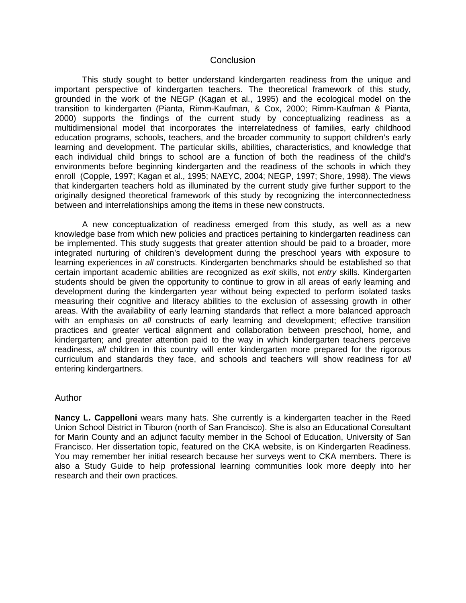#### Conclusion

This study sought to better understand kindergarten readiness from the unique and important perspective of kindergarten teachers. The theoretical framework of this study, grounded in the work of the NEGP (Kagan et al., 1995) and the ecological model on the transition to kindergarten (Pianta, Rimm-Kaufman, & Cox, 2000; Rimm-Kaufman & Pianta, 2000) supports the findings of the current study by conceptualizing readiness as a multidimensional model that incorporates the interrelatedness of families, early childhood education programs, schools, teachers, and the broader community to support children's early learning and development. The particular skills, abilities, characteristics, and knowledge that each individual child brings to school are a function of both the readiness of the child's environments before beginning kindergarten and the readiness of the schools in which they enroll (Copple, 1997; Kagan et al., 1995; NAEYC, 2004; NEGP, 1997; Shore, 1998). The views that kindergarten teachers hold as illuminated by the current study give further support to the originally designed theoretical framework of this study by recognizing the interconnectedness between and interrelationships among the items in these new constructs.

A new conceptualization of readiness emerged from this study, as well as a new knowledge base from which new policies and practices pertaining to kindergarten readiness can be implemented. This study suggests that greater attention should be paid to a broader, more integrated nurturing of children's development during the preschool years with exposure to learning experiences in *all* constructs. Kindergarten benchmarks should be established so that certain important academic abilities are recognized as *exit* skills, not *entry* skills. Kindergarten students should be given the opportunity to continue to grow in all areas of early learning and development during the kindergarten year without being expected to perform isolated tasks measuring their cognitive and literacy abilities to the exclusion of assessing growth in other areas. With the availability of early learning standards that reflect a more balanced approach with an emphasis on *all* constructs of early learning and development; effective transition practices and greater vertical alignment and collaboration between preschool, home, and kindergarten; and greater attention paid to the way in which kindergarten teachers perceive readiness, *all* children in this country will enter kindergarten more prepared for the rigorous curriculum and standards they face, and schools and teachers will show readiness for *all*  entering kindergartners.

#### Author

**Nancy L. Cappelloni** wears many hats. She currently is a kindergarten teacher in the Reed Union School District in Tiburon (north of San Francisco). She is also an Educational Consultant for Marin County and an adjunct faculty member in the School of Education, University of San Francisco. Her dissertation topic, featured on the CKA website, is on Kindergarten Readiness. You may remember her initial research because her surveys went to CKA members. There is also a Study Guide to help professional learning communities look more deeply into her research and their own practices.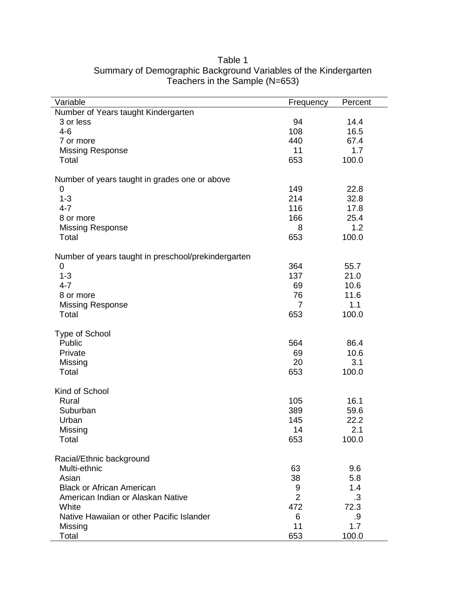| Variable                                            | Frequency      | Percent |
|-----------------------------------------------------|----------------|---------|
| Number of Years taught Kindergarten                 |                |         |
| 3 or less                                           | 94             | 14.4    |
| $4-6$                                               | 108            | 16.5    |
| 7 or more                                           | 440            | 67.4    |
| <b>Missing Response</b>                             | 11             | 1.7     |
| Total                                               | 653            | 100.0   |
| Number of years taught in grades one or above       |                |         |
| 0                                                   | 149            | 22.8    |
| $1 - 3$                                             | 214            | 32.8    |
| $4 - 7$                                             | 116            | 17.8    |
| 8 or more                                           | 166            | 25.4    |
| <b>Missing Response</b>                             | 8              | 1.2     |
| Total                                               | 653            | 100.0   |
| Number of years taught in preschool/prekindergarten |                |         |
| 0                                                   | 364            | 55.7    |
| $1 - 3$                                             | 137            | 21.0    |
| $4 - 7$                                             | 69             | 10.6    |
| 8 or more                                           | 76             | 11.6    |
| <b>Missing Response</b>                             | 7              | 1.1     |
| Total                                               | 653            | 100.0   |
| <b>Type of School</b>                               |                |         |
| Public                                              | 564            | 86.4    |
| Private                                             | 69             | 10.6    |
| Missing                                             | 20             | 3.1     |
| Total                                               | 653            | 100.0   |
| Kind of School                                      |                |         |
| Rural                                               | 105            | 16.1    |
| Suburban                                            | 389            | 59.6    |
| Urban                                               | 145            | 22.2    |
| Missing                                             | 14             | 2.1     |
| Total                                               | 653            | 100.0   |
| Racial/Ethnic background                            |                |         |
| Multi-ethnic                                        | 63             | 9.6     |
| Asian                                               | 38             | 5.8     |
| <b>Black or African American</b>                    | 9              | 1.4     |
| American Indian or Alaskan Native                   | $\overline{2}$ | .3      |
| White                                               | 472            | 72.3    |
| Native Hawaiian or other Pacific Islander           | 6              | .9      |
| Missing                                             | 11             | 1.7     |
| Total                                               | 653            | 100.0   |

## Table 1 Summary of Demographic Background Variables of the Kindergarten Teachers in the Sample (N=653)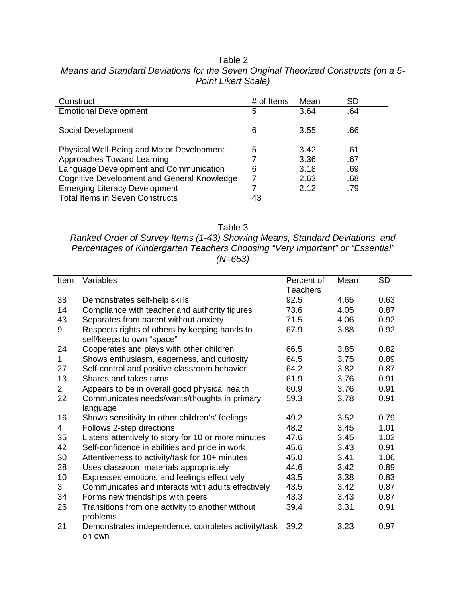| Construct                                        | # of Items | Mean | <b>SD</b> |
|--------------------------------------------------|------------|------|-----------|
| <b>Emotional Development</b>                     | 5          | 3.64 | .64       |
| Social Development                               | 6          | 3.55 | .66       |
| <b>Physical Well-Being and Motor Development</b> | 5          | 3.42 | .61       |
| Approaches Toward Learning                       |            | 3.36 | .67       |
| Language Development and Communication           | 6          | 3.18 | .69       |
| Cognitive Development and General Knowledge      |            | 2.63 | .68       |
| <b>Emerging Literacy Development</b>             |            | 2.12 | .79       |
| <b>Total Items in Seven Constructs</b>           | 43         |      |           |

Total Items in Seven Constructs 43

Table 2 *Means and Standard Deviations for the Seven Original Theorized Constructs (on a 5- Point Likert Scale)*

Table 3

*Ranked Order of Survey Items (1-43) Showing Means, Standard Deviations, and Percentages of Kindergarten Teachers Choosing "Very Important" or "Essential" (N=653)*

| Item           | Variables                                                                  | Percent of      | Mean | <b>SD</b> |
|----------------|----------------------------------------------------------------------------|-----------------|------|-----------|
|                |                                                                            | <b>Teachers</b> |      |           |
| 38             | Demonstrates self-help skills                                              | 92.5            | 4.65 | 0.63      |
| 14             | Compliance with teacher and authority figures                              | 73.6            | 4.05 | 0.87      |
| 43             | Separates from parent without anxiety                                      | 71.5            | 4.06 | 0.92      |
| 9              | Respects rights of others by keeping hands to<br>self/keeps to own "space" | 67.9            | 3.88 | 0.92      |
| 24             | Cooperates and plays with other children                                   | 66.5            | 3.85 | 0.82      |
| $\mathbf 1$    | Shows enthusiasm, eagerness, and curiosity                                 | 64.5            | 3.75 | 0.89      |
| 27             | Self-control and positive classroom behavior                               | 64.2            | 3.82 | 0.87      |
| 13             | Shares and takes turns                                                     | 61.9            | 3.76 | 0.91      |
| $\overline{2}$ | Appears to be in overall good physical health                              | 60.9            | 3.76 | 0.91      |
| 22             | Communicates needs/wants/thoughts in primary                               | 59.3            | 3.78 | 0.91      |
|                | language                                                                   |                 |      |           |
| 16             | Shows sensitivity to other children's' feelings                            | 49.2            | 3.52 | 0.79      |
| 4              | Follows 2-step directions                                                  | 48.2            | 3.45 | 1.01      |
| 35             | Listens attentively to story for 10 or more minutes                        | 47.6            | 3.45 | 1.02      |
| 42             | Self-confidence in abilities and pride in work                             | 45.6            | 3.43 | 0.91      |
| 30             | Attentiveness to activity/task for 10+ minutes                             | 45.0            | 3.41 | 1.06      |
| 28             | Uses classroom materials appropriately                                     | 44.6            | 3.42 | 0.89      |
| 10             | Expresses emotions and feelings effectively                                | 43.5            | 3.38 | 0.83      |
| 3              | Communicates and interacts with adults effectively                         | 43.5            | 3.42 | 0.87      |
| 34             | Forms new friendships with peers                                           | 43.3            | 3.43 | 0.87      |
| 26             | Transitions from one activity to another without<br>problems               | 39.4            | 3.31 | 0.91      |
| 21             | Demonstrates independence: completes activity/task<br>on own               | 39.2            | 3.23 | 0.97      |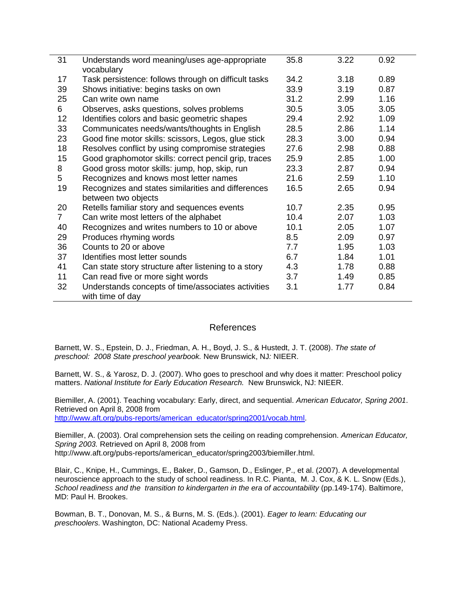| 31           | Understands word meaning/uses age-appropriate        | 35.8 | 3.22 | 0.92 |  |
|--------------|------------------------------------------------------|------|------|------|--|
|              | vocabulary                                           |      |      |      |  |
| 17           | Task persistence: follows through on difficult tasks | 34.2 | 3.18 | 0.89 |  |
| 39           | Shows initiative: begins tasks on own                | 33.9 | 3.19 | 0.87 |  |
| 25           | Can write own name                                   | 31.2 | 2.99 | 1.16 |  |
| 6            | Observes, asks questions, solves problems            | 30.5 | 3.05 | 3.05 |  |
| 12           | Identifies colors and basic geometric shapes         | 29.4 | 2.92 | 1.09 |  |
| 33           | Communicates needs/wants/thoughts in English         | 28.5 | 2.86 | 1.14 |  |
| 23           | Good fine motor skills: scissors, Legos, glue stick  | 28.3 | 3.00 | 0.94 |  |
| 18           | Resolves conflict by using compromise strategies     | 27.6 | 2.98 | 0.88 |  |
| 15           | Good graphomotor skills: correct pencil grip, traces | 25.9 | 2.85 | 1.00 |  |
| 8            | Good gross motor skills: jump, hop, skip, run        | 23.3 | 2.87 | 0.94 |  |
| 5            | Recognizes and knows most letter names               | 21.6 | 2.59 | 1.10 |  |
| 19           | Recognizes and states similarities and differences   | 16.5 | 2.65 | 0.94 |  |
|              | between two objects                                  |      |      |      |  |
| 20           | Retells familiar story and sequences events          | 10.7 | 2.35 | 0.95 |  |
| $\mathbf{7}$ | Can write most letters of the alphabet               | 10.4 | 2.07 | 1.03 |  |
| 40           | Recognizes and writes numbers to 10 or above         | 10.1 | 2.05 | 1.07 |  |
| 29           | Produces rhyming words                               | 8.5  | 2.09 | 0.97 |  |
| 36           | Counts to 20 or above                                | 7.7  | 1.95 | 1.03 |  |
| 37           | Identifies most letter sounds                        | 6.7  | 1.84 | 1.01 |  |
| 41           | Can state story structure after listening to a story | 4.3  | 1.78 | 0.88 |  |
| 11           | Can read five or more sight words                    | 3.7  | 1.49 | 0.85 |  |
| 32           | Understands concepts of time/associates activities   | 3.1  | 1.77 | 0.84 |  |
|              | with time of day                                     |      |      |      |  |

#### **References**

Barnett, W. S., Epstein, D. J., Friedman, A. H., Boyd, J. S., & Hustedt, J. T. (2008). *The state of preschool: 2008 State preschool yearbook.* New Brunswick, NJ*:* NIEER.

Barnett, W. S., & Yarosz, D. J. (2007). Who goes to preschool and why does it matter: Preschool policy matters. *National Institute for Early Education Research.* New Brunswick, NJ: NIEER.

Biemiller, A. (2001). Teaching vocabulary: Early, direct, and sequential. *American Educator, Spring 2001*. Retrieved on April 8, 2008 from [http://www.aft.org/pubs-reports/american\\_educator/spring2001/vocab.html.](http://www.aft.org/pubs-reports/american_educator/spring2001/vocab.html)

Biemiller, A. (2003). Oral comprehension sets the ceiling on reading comprehension. *American Educator, Spring 2003.* Retrieved on April 8, 2008 from [http://www.aft.org/pubs-reports/american\\_educator/spring2003/biemiller.html.](http://www.aft.org/pubs-reports/american_educator/spring2003/biemiller.html)

Blair, C., Knipe, H., Cummings, E., Baker, D., Gamson, D., Eslinger, P., et al. (2007). A developmental neuroscience approach to the study of school readiness. In R.C. Pianta, M. J. Cox, & K. L. Snow (Eds.), *School readiness and the transition to kindergarten in the era of accountability (pp.149-174). Baltimore,* MD: Paul H. Brookes.

Bowman, B. T., Donovan, M. S., & Burns, M. S. (Eds.). (2001). *Eager to learn: Educating our preschoolers.* Washington, DC: National Academy Press.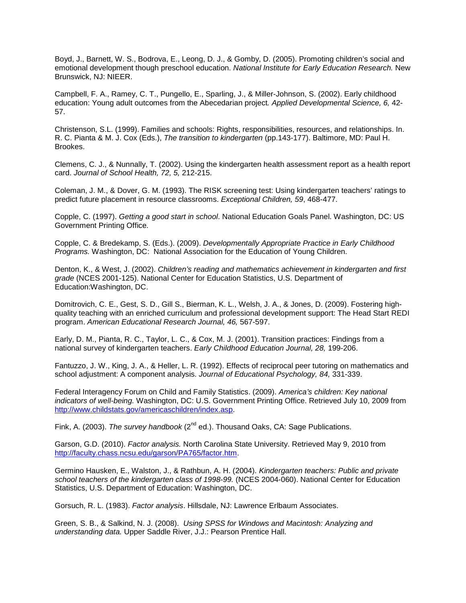Boyd, J., Barnett, W. S., Bodrova, E., Leong, D. J., & Gomby, D. (2005). Promoting children's social and emotional development though preschool education. *National Institute for Early Education Research.* New Brunswick, NJ: NIEER.

Campbell, F. A., Ramey, C. T., Pungello, E., Sparling, J., & Miller-Johnson, S. (2002). Early childhood education: Young adult outcomes from the Abecedarian project*. Applied Developmental Science, 6,* 42- 57.

Christenson, S.L. (1999). Families and schools: Rights, responsibilities, resources, and relationships. In. R. C. Pianta & M. J. Cox (Eds.), *The transition to kindergarten* (pp.143-177). Baltimore, MD: Paul H. Brookes.

Clemens, C. J., & Nunnally, T. (2002). Using the kindergarten health assessment report as a health report card. *Journal of School Health, 72, 5,* 212-215.

Coleman, J. M., & Dover, G. M. (1993). The RISK screening test: Using kindergarten teachers' ratings to predict future placement in resource classrooms. *Exceptional Children, 59*, 468-477.

Copple, C. (1997). *Getting a good start in school*. National Education Goals Panel. Washington, DC: US Government Printing Office.

Copple, C. & Bredekamp, S. (Eds.). (2009). *Developmentally Appropriate Practice in Early Childhood Programs.* Washington, DC: National Association for the Education of Young Children.

Denton, K., & West, J. (2002). *Children's reading and mathematics achievement in kindergarten and first grade* (NCES 2001-125). National Center for Education Statistics, U.S. Department of Education:Washington, DC.

Domitrovich, C. E., Gest, S. D., Gill S., Bierman, K. L., Welsh, J. A., & Jones, D. (2009). Fostering highquality teaching with an enriched curriculum and professional development support: The Head Start REDI program. *American Educational Research Journal, 46,* 567-597.

Early, D. M., Pianta, R. C., Taylor, L. C., & Cox, M. J. (2001). Transition practices: Findings from a national survey of kindergarten teachers. *Early Childhood Education Journal, 28,* 199-206.

Fantuzzo, J. W., King, J. A., & Heller, L. R. (1992). Effects of reciprocal peer tutoring on mathematics and school adjustment: A component analysis. *Journal of Educational Psychology, 84,* 331-339.

Federal Interagency Forum on Child and Family Statistics. (2009). *America's children: Key national indicators of well-being.* Washington, DC: U.S. Government Printing Office. Retrieved July 10, 2009 from [http://www.childstats.gov/americaschildren/index.asp.](http://www.childstats.gov/americaschildren/index.asp)

Fink, A. (2003). *The survey handbook* (2nd ed.). Thousand Oaks, CA: Sage Publications.

Garson, G.D. (2010). *Factor analysis.* North Carolina State University. Retrieved May 9, 2010 from [http://faculty.chass.ncsu.edu/garson/PA765/factor.htm.](http://faculty.chass.ncsu.edu/garson/PA765/factor.htm)

Germino Hausken, E., Walston, J., & Rathbun, A. H. (2004). *Kindergarten teachers: Public and private school teachers of the kindergarten class of 1998-99.* (NCES 2004-060). National Center for Education Statistics, U.S. Department of Education: Washington, DC.

Gorsuch, R. L. (1983). *Factor analysis*. Hillsdale, NJ: Lawrence Erlbaum Associates.

Green, S. B., & Salkind, N. J. (2008). *Using SPSS for Windows and Macintosh: Analyzing and understanding data.* Upper Saddle River, J.J.: Pearson Prentice Hall.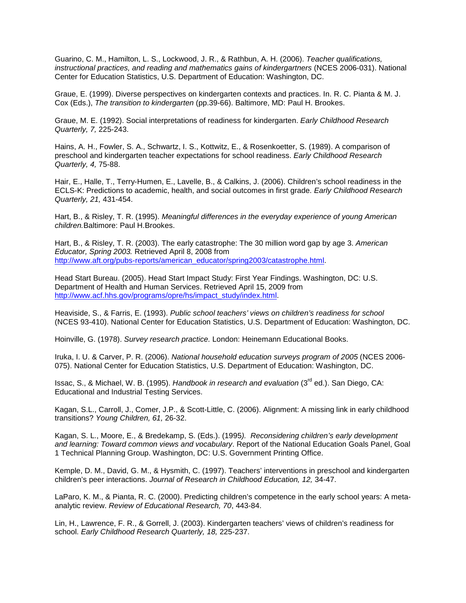Guarino, C. M., Hamilton, L. S., Lockwood, J. R., & Rathbun, A. H. (2006). *Teacher qualifications, instructional practices, and reading and mathematics gains of kindergartners* (NCES 2006-031). National Center for Education Statistics, U.S. Department of Education: Washington, DC.

Graue, E. (1999). Diverse perspectives on kindergarten contexts and practices. In. R. C. Pianta & M. J. Cox (Eds.), *The transition to kindergarten* (pp.39-66). Baltimore, MD: Paul H. Brookes.

Graue, M. E. (1992). Social interpretations of readiness for kindergarten. *Early Childhood Research Quarterly, 7,* 225-243.

Hains, A. H., Fowler, S. A., Schwartz, I. S., Kottwitz, E., & Rosenkoetter, S. (1989). A comparison of preschool and kindergarten teacher expectations for school readiness. *Early Childhood Research Quarterly, 4,* 75-88.

Hair, E., Halle, T., Terry-Humen, E., Lavelle, B., & Calkins, J. (2006). Children's school readiness in the ECLS-K: Predictions to academic, health, and social outcomes in first grade. *Early Childhood Research Quarterly, 21,* 431-454.

Hart, B., & Risley, T. R. (1995). *Meaningful differences in the everyday experience of young American children.*Baltimore: Paul H.Brookes.

Hart, B., & Risley, T. R. (2003). The early catastrophe: The 30 million word gap by age 3. *American Educator, Spring 2003.* Retrieved April 8, 2008 from [http://www.aft.org/pubs-reports/american\\_educator/spring2003/catastrophe.html.](http://www.aft.org/pubs-reports/american_educator/spring2003/catastrophe.html)

Head Start Bureau. (2005). Head Start Impact Study: First Year Findings. Washington, DC: U.S. Department of Health and Human Services. Retrieved April 15, 2009 from [http://www.acf.hhs.gov/programs/opre/hs/impact\\_study/index.html.](http://www.acf.hhs.gov/programs/opre/hs/impact_study/index.html)

Heaviside, S., & Farris, E. (1993). *Public school teachers' views on children's readiness for school*  (NCES 93-410). National Center for Education Statistics, U.S. Department of Education: Washington, DC.

Hoinville, G. (1978). *Survey research practice.* London: Heinemann Educational Books.

Iruka, I. U. & Carver, P. R. (2006). *National household education surveys program of 2005* (NCES 2006- 075). National Center for Education Statistics, U.S. Department of Education: Washington, DC.

Issac, S., & Michael, W. B. (1995). *Handbook in research and evaluation* (3rd ed.). San Diego, CA: Educational and Industrial Testing Services.

Kagan, S.L., Carroll, J., Comer, J.P., & Scott-Little, C. (2006). Alignment: A missing link in early childhood transitions? *Young Children, 61,* 26-32.

Kagan, S. L., Moore, E., & Bredekamp, S. (Eds.). (1995*). Reconsidering children's early development and learning: Toward common views and vocabulary*. Report of the National Education Goals Panel, Goal 1 Technical Planning Group. Washington, DC: U.S. Government Printing Office.

Kemple, D. M., David, G. M., & Hysmith, C. (1997). Teachers' interventions in preschool and kindergarten children's peer interactions. *Journal of Research in Childhood Education, 12,* 34-47.

LaParo, K. M., & Pianta, R. C. (2000). Predicting children's competence in the early school years: A metaanalytic review. *Review of Educational Research, 70*, 443-84.

Lin, H., Lawrence, F. R., & Gorrell, J. (2003). Kindergarten teachers' views of children's readiness for school. *Early Childhood Research Quarterly, 18,* 225-237.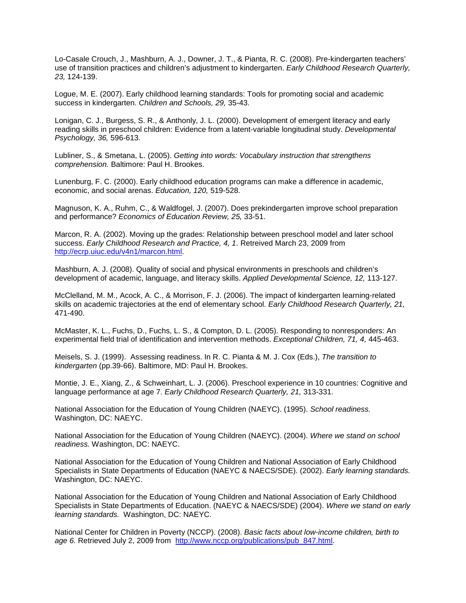Lo-Casale Crouch, J., Mashburn, A. J., Downer, J. T., & Pianta, R. C. (2008). Pre-kindergarten teachers' use of transition practices and children's adjustment to kindergarten. *Early Childhood Research Quarterly, 23,* 124-139.

Logue, M. E. (2007). Early childhood learning standards: Tools for promoting social and academic success in kindergarten. *Children and Schools, 29,* 35-43.

Lonigan, C. J., Burgess, S. R., & Anthonly, J. L. (2000). Development of emergent literacy and early reading skills in preschool children: Evidence from a latent-variable longitudinal study. *Developmental Psychology, 36,* 596-613.

Lubliner, S., & Smetana, L. (2005). *Getting into words: Vocabulary instruction that strengthens comprehension.* Baltimore: Paul H. Brookes.

Lunenburg, F. C. (2000). Early childhood education programs can make a difference in academic, economic, and social arenas. *Education, 120,* 519-528.

Magnuson, K. A., Ruhm, C., & Waldfogel, J. (2007). Does prekindergarten improve school preparation and performance? *Economics of Education Review, 25,* 33-51.

Marcon, R. A. (2002). Moving up the grades: Relationship between preschool model and later school success. *Early Childhood Research and Practice, 4, 1*. Retreived March 23, 2009 from [http://ecrp.uiuc.edu/v4n1/marcon.html.](http://ecrp.uiuc.edu/v4n1/marcon.html)

Mashburn, A. J. (2008). Quality of social and physical environments in preschools and children's development of academic, language, and literacy skills. *Applied Developmental Science, 12,* 113-127.

McClelland, M. M., Acock, A. C., & Morrison, F. J. (2006). The impact of kindergarten learning-related skills on academic trajectories at the end of elementary school. *Early Childhood Research Quarterly, 21,*  471-490.

McMaster, K. L., Fuchs, D., Fuchs, L. S., & Compton, D. L. (2005). Responding to nonresponders: An experimental field trial of identification and intervention methods. *Exceptional Children, 71, 4,* 445-463.

Meisels, S. J. (1999). Assessing readiness. In R. C. Pianta & M. J. Cox (Eds.), *The transition to kindergarten* (pp.39-66). Baltimore, MD: Paul H. Brookes.

Montie, J. E., Xiang, Z., & Schweinhart, L. J. (2006). Preschool experience in 10 countries: Cognitive and language performance at age 7. *Early Childhood Research Quarterly, 21,* 313-331.

National Association for the Education of Young Children (NAEYC). (1995). *School readiness.* Washington, DC: NAEYC.

National Association for the Education of Young Children (NAEYC). (2004). *Where we stand on school readiness.* Washington, DC: NAEYC.

National Association for the Education of Young Children and National Association of Early Childhood Specialists in State Departments of Education (NAEYC & NAECS/SDE). (2002). *Early learning standards.* Washington, DC: NAEYC.

National Association for the Education of Young Children and National Association of Early Childhood Specialists in State Departments of Education. (NAEYC & NAECS/SDE) (2004). *Where we stand on early learning standards.* Washington, DC: NAEYC.

National Center for Children in Poverty (NCCP). (2008). *Basic facts about low-income children, birth to age 6.* Retrieved July 2, 2009 from [http://www.nccp.org/publications/pub\\_847.html.](http://www.nccp.org/publications/pub_847.html)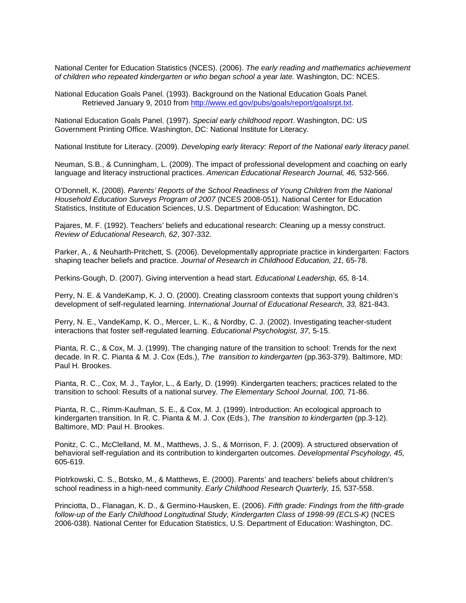National Center for Education Statistics (NCES). (2006). *The early reading and mathematics achievement of children who repeated kindergarten or who began school a year late.* Washington, DC: NCES.

National Education Goals Panel. (1993). Background on the National Education Goals Panel. Retrieved January 9, 2010 from [http://www.ed.gov/pubs/goals/report/goalsrpt.txt.](http://www.ed.gov/pubs/goals/report/goalsrpt.txt)

National Education Goals Panel. (1997). *Special early childhood report*. Washington, DC: US Government Printing Office. Washington, DC: National Institute for Literacy.

National Institute for Literacy. (2009). *Developing early literacy: Report of the National early literacy panel.*

Neuman, S.B., & Cunningham, L. (2009). The impact of professional development and coaching on early language and literacy instructional practices. *American Educational Research Journal, 46,* 532-566.

O'Donnell, K. (2008). *Parents' Reports of the School Readiness of Young Children from the National Household Education Surveys Program of 2007* (NCES 2008-051). National Center for Education Statistics, Institute of Education Sciences, U.S. Department of Education: Washington, DC.

Pajares, M. F. (1992). Teachers' beliefs and educational research: Cleaning up a messy construct. *Review of Educational Research, 62*, 307-332.

Parker, A., & Neuharth-Pritchett, S. (2006). Developmentally appropriate practice in kindergarten: Factors shaping teacher beliefs and practice. *Journal of Research in Childhood Education, 21,* 65-78.

Perkins-Gough, D. (2007). Giving intervention a head start. *Educational Leadership, 65,* 8-14.

Perry, N. E. & VandeKamp, K. J. O. (2000). Creating classroom contexts that support young children's development of self-regulated learning. *International Journal of Educational Research, 33,* 821-843.

Perry, N. E., VandeKamp, K. O., Mercer, L. K., & Nordby, C. J. (2002). Investigating teacher-student interactions that foster self-regulated learning. *Educational Psychologist, 37,* 5-15.

Pianta, R. C., & Cox, M. J. (1999). The changing nature of the transition to school: Trends for the next decade. In R. C. Pianta & M. J. Cox (Eds.), *The transition to kindergarten* (pp.363-379). Baltimore, MD: Paul H. Brookes.

Pianta, R. C., Cox, M. J., Taylor, L., & Early, D. (1999). Kindergarten teachers; practices related to the transition to school: Results of a national survey. *The Elementary School Journal, 100,* 71-86.

Pianta, R. C., Rimm-Kaufman, S. E., & Cox, M. J. (1999). Introduction: An ecological approach to kindergarten transition. In R. C. Pianta & M. J. Cox (Eds.), *The transition to kindergarten* (pp.3-12). Baltimore, MD: Paul H. Brookes.

Ponitz, C. C., McClelland, M. M., Matthews, J. S., & Morrison, F. J. (2009). A structured observation of behavioral self-regulation and its contribution to kindergarten outcomes. *Developmental Pscyhology, 45,* 605-619.

Piotrkowski, C. S., Botsko, M., & Matthews, E. (2000). Parents' and teachers' beliefs about children's school readiness in a high-need community. *Early Childhood Research Quarterly, 15,* 537-558.

Princiotta, D., Flanagan, K. D., & Germino-Hausken, E. (2006). *Fifth grade: Findings from the fifth-grade follow-up of the Early Childhood Longitudinal Study, Kindergarten Class of 1998-99 (ECLS-K)* (NCES 2006-038). National Center for Education Statistics, U.S. Department of Education: Washington, DC.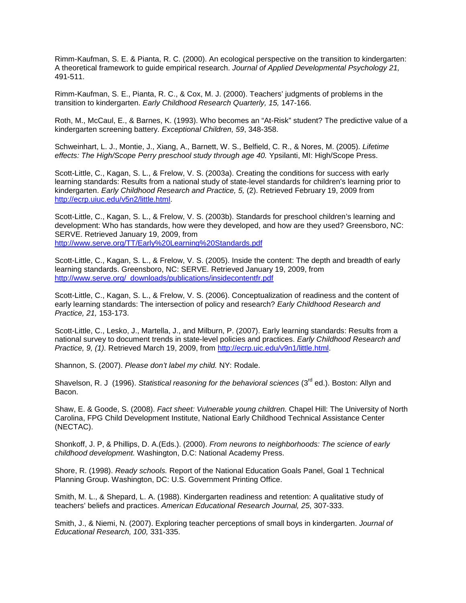Rimm-Kaufman, S. E. & Pianta, R. C. (2000). An ecological perspective on the transition to kindergarten: A theoretical framework to guide empirical research. *Journal of Applied Developmental Psychology 21,*  491-511.

Rimm-Kaufman, S. E., Pianta, R. C., & Cox, M. J. (2000). Teachers' judgments of problems in the transition to kindergarten. *Early Childhood Research Quarterly, 15,* 147-166.

Roth, M., McCaul, E., & Barnes, K. (1993). Who becomes an "At-Risk" student? The predictive value of a kindergarten screening battery. *Exceptional Children, 59*, 348-358.

Schweinhart, L. J., Montie, J., Xiang, A., Barnett, W. S., Belfield, C. R., & Nores, M. (2005). *Lifetime effects: The High/Scope Perry preschool study through age 40.* Ypsilanti, MI: High/Scope Press.

Scott-Little, C., Kagan, S. L., & Frelow, V. S. (2003a). Creating the conditions for success with early learning standards: Results from a national study of state-level standards for children's learning prior to kindergarten. *Early Childhood Research and Practice, 5,* (2). Retrieved February 19, 2009 from [http://ecrp.uiuc.edu/v5n2/little.html.](http://ecrp.uiuc.edu/v5n2/little.html)

Scott-Little, C., Kagan, S. L., & Frelow, V. S. (2003b). Standards for preschool children's learning and development: Who has standards, how were they developed, and how are they used? Greensboro, NC: SERVE. Retrieved January 19, 2009, from <http://www.serve.org/TT/Early%20Learning%20Standards.pdf>

Scott-Little, C., Kagan, S. L., & Frelow, V. S. (2005). Inside the content: The depth and breadth of early learning standards. Greensboro, NC: SERVE. Retrieved January 19, 2009, from [http://www.serve.org/\\_downloads/publications/insidecontentfr.pdf](http://www.serve.org/_downloads/publications/insidecontentfr.pdf)

Scott-Little, C., Kagan, S. L., & Frelow, V. S. (2006). Conceptualization of readiness and the content of early learning standards: The intersection of policy and research? *Early Childhood Research and Practice, 21,* 153-173.

Scott-Little, C., Lesko, J., Martella, J., and Milburn, P. (2007). Early learning standards: Results from a national survey to document trends in state-level policies and practices. *Early Childhood Research and Practice, 9, (1).* Retrieved March 19, 2009, from [http://ecrp.uic.edu/v9n1/little.html.](http://ecrp.uic.edu/v9n1/little.html)

Shannon, S. (2007). *Please don't label my child.* NY: Rodale.

Shavelson, R. J (1996). *Statistical reasoning for the behavioral sciences* (3<sup>rd</sup> ed.). Boston: Allyn and Bacon.

Shaw, E. & Goode, S. (2008). *Fact sheet: Vulnerable young children.* Chapel Hill: The University of North Carolina, FPG Child Development Institute, National Early Childhood Technical Assistance Center (NECTAC).

Shonkoff, J. P, & Phillips, D. A.(Eds.). (2000). *From neurons to neighborhoods: The science of early childhood development.* Washington, D.C: National Academy Press.

Shore, R. (1998). *Ready schools.* Report of the National Education Goals Panel, Goal 1 Technical Planning Group. Washington, DC: U.S. Government Printing Office.

Smith, M. L., & Shepard, L. A. (1988). Kindergarten readiness and retention: A qualitative study of teachers' beliefs and practices. *American Educational Research Journal, 25*, 307-333.

Smith, J., & Niemi, N. (2007). Exploring teacher perceptions of small boys in kindergarten. *Journal of Educational Research, 100,* 331-335.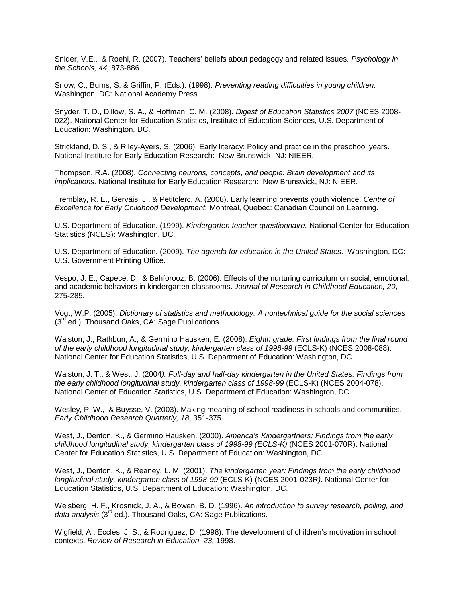Snider, V.E., & Roehl, R. (2007). Teachers' beliefs about pedagogy and related issues. *Psychology in the Schools, 44,* 873-886.

Snow, C., Burns, S, & Griffin, P. (Eds.). (1998). *Preventing reading difficulties in young children.*  Washington, DC: National Academy Press.

Snyder, T. D., Dillow, S. A., & Hoffman, C. M. (2008). *Digest of Education Statistics 2007* (NCES 2008- 022). National Center for Education Statistics, Institute of Education Sciences, U.S. Department of Education: Washington, DC.

Strickland, D. S., & Riley-Ayers, S. (2006). Early literacy: Policy and practice in the preschool years. National Institute for Early Education Research: New Brunswick, NJ: NIEER.

Thompson, R.A. (2008). *Connecting neurons, concepts, and people: Brain development and its implications.* National Institute for Early Education Research: New Brunswick, NJ: NIEER.

Tremblay, R. E., Gervais, J., & Petitclerc, A. (2008). Early learning prevents youth violence. *Centre of Excellence for Early Childhood Development.* Montreal, Quebec: Canadian Council on Learning.

U.S. Department of Education. (1999). *Kindergarten teacher questionnaire.* National Center for Education Statistics (NCES): Washington, DC.

U.S. Department of Education. (2009). *The agenda for education in the United States.* Washington, DC: U.S. Government Printing Office.

Vespo, J. E., Capece, D., & Behforooz, B. (2006). Effects of the nurturing curriculum on social, emotional, and academic behaviors in kindergarten classrooms. *Journal of Research in Childhood Education, 20,* 275-285.

Vogt, W.P. (2005). *Dictionary of statistics and methodology: A nontechnical guide for the social sciences*  $(3<sup>rd</sup>$  ed.). Thousand Oaks, CA: Sage Publications.

Walston, J., Rathbun, A., & Germino Hausken, E. (2008). *Eighth grade: First findings from the final round of the early childhood longitudinal study, kindergarten class of 1998-99* (ECLS-K) (NCES 2008-088). National Center for Education Statistics, U.S. Department of Education: Washington, DC.

Walston, J. T., & West, J. (2004*). Full-day and half-day kindergarten in the United States: Findings from the early childhood longitudinal study, kindergarten class of 1998-99* (ECLS-K) (NCES 2004-078). National Center of Education Statistics, U.S. Department of Education: Washington, DC.

Wesley, P. W., & Buysse, V. (2003). Making meaning of school readiness in schools and communities. *Early Childhood Research Quarterly, 18*, 351-375.

West, J., Denton, K., & Germino Hausken. (2000). *America's Kindergartners: Findings from the early childhood longitudinal study, kindergarten class of 1998-99 (ECLS-K)* (NCES 2001-070R). National Center for Education Statistics, U.S. Department of Education: Washington, DC.

West, J., Denton, K., & Reaney, L. M. (2001). *The kindergarten year: Findings from the early childhood longitudinal study, kindergarten class of 1998-99* (ECLS-K) (NCES 2001-023R*)*. National Center for Education Statistics, U.S. Department of Education: Washington, DC.

Weisberg, H. F., Krosnick, J. A., & Bowen, B. D. (1996). *An introduction to survey research, polling, and*  data analysis (3<sup>rd</sup> ed.). Thousand Oaks, CA: Sage Publications.

Wigfield, A., Eccles, J. S., & Rodriguez, D. (1998). The development of children's motivation in school contexts. *Review of Research in Education, 23,* 1998.